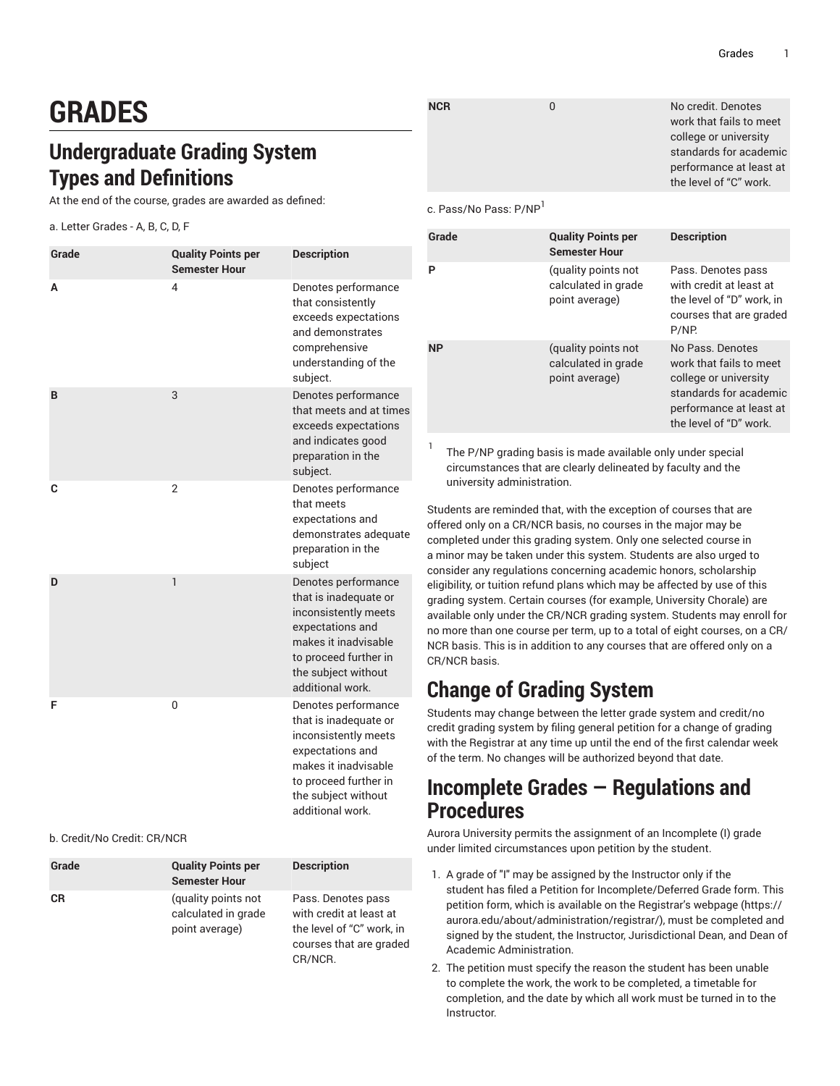work that fails to meet college or university standards for academic performance at least at the level of "C" work.

# **GRADES**

# **Undergraduate Grading System Types and Definitions**

At the end of the course, grades are awarded as defined:

a. Letter Grades - A, B, C, D, F

| Grade | <b>Quality Points per</b><br><b>Semester Hour</b> | <b>Description</b>                                                                                                                                                                   |
|-------|---------------------------------------------------|--------------------------------------------------------------------------------------------------------------------------------------------------------------------------------------|
| А     | 4                                                 | Denotes performance<br>that consistently<br>exceeds expectations<br>and demonstrates<br>comprehensive<br>understanding of the<br>subject.                                            |
| B     | 3                                                 | Denotes performance<br>that meets and at times<br>exceeds expectations<br>and indicates good<br>preparation in the<br>subject.                                                       |
| C     | $\overline{2}$                                    | Denotes performance<br>that meets<br>expectations and<br>demonstrates adequate<br>preparation in the<br>subject                                                                      |
| D     | 1                                                 | Denotes performance<br>that is inadequate or<br>inconsistently meets<br>expectations and<br>makes it inadvisable<br>to proceed further in<br>the subject without<br>additional work. |
| F     | 0                                                 | Denotes performance<br>that is inadequate or<br>inconsistently meets<br>expectations and<br>makes it inadvisable<br>to proceed further in<br>the subject without<br>additional work. |

#### b. Credit/No Credit: CR/NCR

| Grade     | <b>Quality Points per</b><br><b>Semester Hour</b>            | <b>Description</b>                                                                                               |
|-----------|--------------------------------------------------------------|------------------------------------------------------------------------------------------------------------------|
| <b>CR</b> | (quality points not<br>calculated in grade<br>point average) | Pass. Denotes pass<br>with credit at least at<br>the level of "C" work, in<br>courses that are graded<br>CR/NCR. |

| <b>NCR</b> | No credit. Denotes   |
|------------|----------------------|
|            | work that fails to n |
|            | college or universit |
|            | standards for acad   |
|            | performance at lea   |
|            |                      |

c. Pass/No Pass: P/NP<sup>1</sup>

| Grade     | <b>Quality Points per</b><br><b>Semester Hour</b>            | <b>Description</b>                                                                                                                                  |
|-----------|--------------------------------------------------------------|-----------------------------------------------------------------------------------------------------------------------------------------------------|
| Р         | (quality points not<br>calculated in grade<br>point average) | Pass. Denotes pass<br>with credit at least at<br>the level of "D" work, in<br>courses that are graded<br>P/NP.                                      |
| <b>NP</b> | (quality points not<br>calculated in grade<br>point average) | No Pass, Denotes<br>work that fails to meet<br>college or university<br>standards for academic<br>performance at least at<br>the level of "D" work. |

1 The P/NP grading basis is made available only under special circumstances that are clearly delineated by faculty and the university administration.

Students are reminded that, with the exception of courses that are offered only on a CR/NCR basis, no courses in the major may be completed under this grading system. Only one selected course in a minor may be taken under this system. Students are also urged to consider any regulations concerning academic honors, scholarship eligibility, or tuition refund plans which may be affected by use of this grading system. Certain courses (for example, University Chorale) are available only under the CR/NCR grading system. Students may enroll for no more than one course per term, up to a total of eight courses, on a CR/ NCR basis. This is in addition to any courses that are offered only on a CR/NCR basis.

## **Change of Grading System**

Students may change between the letter grade system and credit/no credit grading system by filing general petition for a change of grading with the Registrar at any time up until the end of the first calendar week of the term. No changes will be authorized beyond that date.

### **Incomplete Grades — Regulations and Procedures**

Aurora University permits the assignment of an Incomplete (I) grade under limited circumstances upon petition by the student.

- 1. A grade of "I" may be assigned by the Instructor only if the student has filed a Petition for Incomplete/Deferred Grade form. This petition form, which is available on the [Registrar's](https://aurora.edu/about/administration/registrar/) webpage ([https://](https://aurora.edu/about/administration/registrar/) [aurora.edu/about/administration/registrar/\)](https://aurora.edu/about/administration/registrar/), must be completed and signed by the student, the Instructor, Jurisdictional Dean, and Dean of Academic Administration.
- 2. The petition must specify the reason the student has been unable to complete the work, the work to be completed, a timetable for completion, and the date by which all work must be turned in to the Instructor.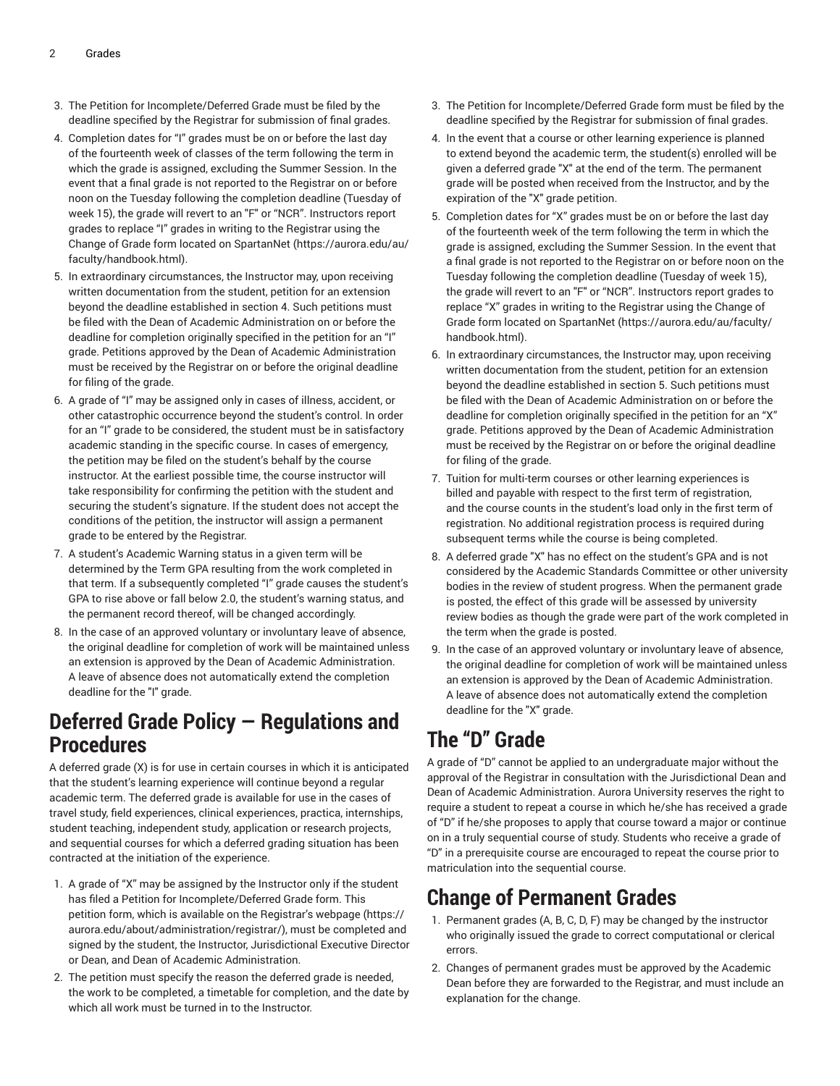- 3. The Petition for Incomplete/Deferred Grade must be filed by the deadline specified by the Registrar for submission of final grades.
- 4. Completion dates for "I" grades must be on or before the last day of the fourteenth week of classes of the term following the term in which the grade is assigned, excluding the Summer Session. In the event that a final grade is not reported to the Registrar on or before noon on the Tuesday following the completion deadline (Tuesday of week 15), the grade will revert to an "F" or "NCR". Instructors report grades to replace "I" grades in writing to the Registrar using the Change of Grade form located on [SpartanNet \(https://aurora.edu/au/](https://aurora.edu/au/faculty/handbook.html) [faculty/handbook.html](https://aurora.edu/au/faculty/handbook.html)).
- 5. In extraordinary circumstances, the Instructor may, upon receiving written documentation from the student, petition for an extension beyond the deadline established in section 4. Such petitions must be filed with the Dean of Academic Administration on or before the deadline for completion originally specified in the petition for an "I" grade. Petitions approved by the Dean of Academic Administration must be received by the Registrar on or before the original deadline for filing of the grade.
- 6. A grade of "I" may be assigned only in cases of illness, accident, or other catastrophic occurrence beyond the student's control. In order for an "I" grade to be considered, the student must be in satisfactory academic standing in the specific course. In cases of emergency, the petition may be filed on the student's behalf by the course instructor. At the earliest possible time, the course instructor will take responsibility for confirming the petition with the student and securing the student's signature. If the student does not accept the conditions of the petition, the instructor will assign a permanent grade to be entered by the Registrar.
- 7. A student's Academic Warning status in a given term will be determined by the Term GPA resulting from the work completed in that term. If a subsequently completed "I" grade causes the student's GPA to rise above or fall below 2.0, the student's warning status, and the permanent record thereof, will be changed accordingly.
- 8. In the case of an approved voluntary or involuntary leave of absence, the original deadline for completion of work will be maintained unless an extension is approved by the Dean of Academic Administration. A leave of absence does not automatically extend the completion deadline for the "I" grade.

# **Deferred Grade Policy — Regulations and Procedures**

A deferred grade (X) is for use in certain courses in which it is anticipated that the student's learning experience will continue beyond a regular academic term. The deferred grade is available for use in the cases of travel study, field experiences, clinical experiences, practica, internships, student teaching, independent study, application or research projects, and sequential courses for which a deferred grading situation has been contracted at the initiation of the experience.

- 1. A grade of "X" may be assigned by the Instructor only if the student has filed a Petition for Incomplete/Deferred Grade form. This petition form, which is available on the [Registrar's](https://aurora.edu/about/administration/registrar/) webpage [\(https://](https://aurora.edu/about/administration/registrar/) [aurora.edu/about/administration/registrar/](https://aurora.edu/about/administration/registrar/)), must be completed and signed by the student, the Instructor, Jurisdictional Executive Director or Dean, and Dean of Academic Administration.
- 2. The petition must specify the reason the deferred grade is needed, the work to be completed, a timetable for completion, and the date by which all work must be turned in to the Instructor.
- 3. The Petition for Incomplete/Deferred Grade form must be filed by the deadline specified by the Registrar for submission of final grades.
- 4. In the event that a course or other learning experience is planned to extend beyond the academic term, the student(s) enrolled will be given a deferred grade "X" at the end of the term. The permanent grade will be posted when received from the Instructor, and by the expiration of the "X" grade petition.
- 5. Completion dates for "X" grades must be on or before the last day of the fourteenth week of the term following the term in which the grade is assigned, excluding the Summer Session. In the event that a final grade is not reported to the Registrar on or before noon on the Tuesday following the completion deadline (Tuesday of week 15), the grade will revert to an "F" or "NCR". Instructors report grades to replace "X" grades in writing to the Registrar using the Change of Grade form located on [SpartanNet \(https://aurora.edu/au/faculty/](https://aurora.edu/au/faculty/handbook.html) [handbook.html\)](https://aurora.edu/au/faculty/handbook.html).
- 6. In extraordinary circumstances, the Instructor may, upon receiving written documentation from the student, petition for an extension beyond the deadline established in section 5. Such petitions must be filed with the Dean of Academic Administration on or before the deadline for completion originally specified in the petition for an "X" grade. Petitions approved by the Dean of Academic Administration must be received by the Registrar on or before the original deadline for filing of the grade.
- 7. Tuition for multi-term courses or other learning experiences is billed and payable with respect to the first term of registration, and the course counts in the student's load only in the first term of registration. No additional registration process is required during subsequent terms while the course is being completed.
- 8. A deferred grade "X" has no effect on the student's GPA and is not considered by the Academic Standards Committee or other university bodies in the review of student progress. When the permanent grade is posted, the effect of this grade will be assessed by university review bodies as though the grade were part of the work completed in the term when the grade is posted.
- 9. In the case of an approved voluntary or involuntary leave of absence, the original deadline for completion of work will be maintained unless an extension is approved by the Dean of Academic Administration. A leave of absence does not automatically extend the completion deadline for the "X" grade.

# **The "D" Grade**

A grade of "D" cannot be applied to an undergraduate major without the approval of the Registrar in consultation with the Jurisdictional Dean and Dean of Academic Administration. Aurora University reserves the right to require a student to repeat a course in which he/she has received a grade of "D" if he/she proposes to apply that course toward a major or continue on in a truly sequential course of study. Students who receive a grade of "D" in a prerequisite course are encouraged to repeat the course prior to matriculation into the sequential course.

# **Change of Permanent Grades**

- 1. Permanent grades (A, B, C, D, F) may be changed by the instructor who originally issued the grade to correct computational or clerical errors.
- 2. Changes of permanent grades must be approved by the Academic Dean before they are forwarded to the Registrar, and must include an explanation for the change.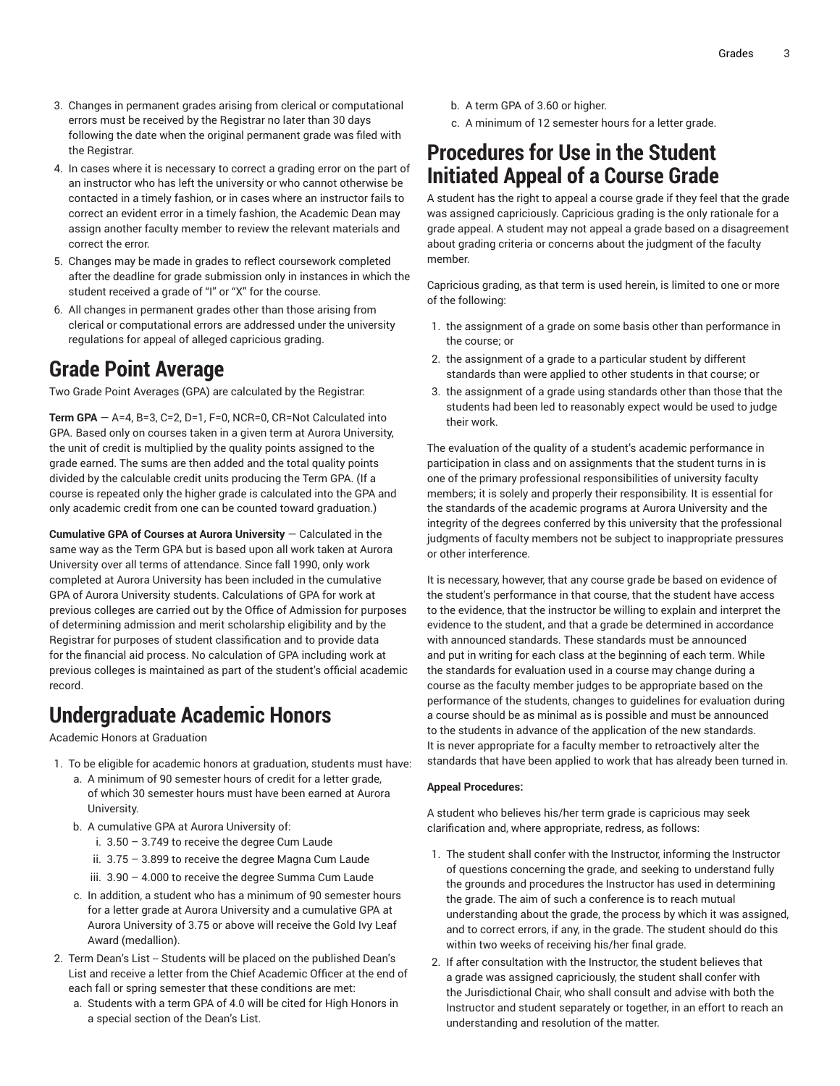- 3. Changes in permanent grades arising from clerical or computational errors must be received by the Registrar no later than 30 days following the date when the original permanent grade was filed with the Registrar.
- 4. In cases where it is necessary to correct a grading error on the part of an instructor who has left the university or who cannot otherwise be contacted in a timely fashion, or in cases where an instructor fails to correct an evident error in a timely fashion, the Academic Dean may assign another faculty member to review the relevant materials and correct the error.
- 5. Changes may be made in grades to reflect coursework completed after the deadline for grade submission only in instances in which the student received a grade of "I" or "X" for the course.
- 6. All changes in permanent grades other than those arising from clerical or computational errors are addressed under the university regulations for appeal of alleged capricious grading.

### **Grade Point Average**

Two Grade Point Averages (GPA) are calculated by the Registrar:

**Term GPA** — A=4, B=3, C=2, D=1, F=0, NCR=0, CR=Not Calculated into GPA. Based only on courses taken in a given term at Aurora University, the unit of credit is multiplied by the quality points assigned to the grade earned. The sums are then added and the total quality points divided by the calculable credit units producing the Term GPA. (If a course is repeated only the higher grade is calculated into the GPA and only academic credit from one can be counted toward graduation.)

**Cumulative GPA of Courses at Aurora University** — Calculated in the same way as the Term GPA but is based upon all work taken at Aurora University over all terms of attendance. Since fall 1990, only work completed at Aurora University has been included in the cumulative GPA of Aurora University students. Calculations of GPA for work at previous colleges are carried out by the Office of Admission for purposes of determining admission and merit scholarship eligibility and by the Registrar for purposes of student classification and to provide data for the financial aid process. No calculation of GPA including work at previous colleges is maintained as part of the student's official academic record.

## **Undergraduate Academic Honors**

Academic Honors at Graduation

- 1. To be eligible for academic honors at graduation, students must have:
	- a. A minimum of 90 semester hours of credit for a letter grade, of which 30 semester hours must have been earned at Aurora University.
	- b. A cumulative GPA at Aurora University of:
		- i. 3.50 3.749 to receive the degree Cum Laude
		- ii. 3.75 3.899 to receive the degree Magna Cum Laude
		- iii. 3.90 4.000 to receive the degree Summa Cum Laude
	- c. In addition, a student who has a minimum of 90 semester hours for a letter grade at Aurora University and a cumulative GPA at Aurora University of 3.75 or above will receive the Gold Ivy Leaf Award (medallion).
- 2. Term Dean's List -- Students will be placed on the published Dean's List and receive a letter from the Chief Academic Officer at the end of each fall or spring semester that these conditions are met:
	- a. Students with a term GPA of 4.0 will be cited for High Honors in a special section of the Dean's List.
- b. A term GPA of 3.60 or higher.
- c. A minimum of 12 semester hours for a letter grade.

### **Procedures for Use in the Student Initiated Appeal of a Course Grade**

A student has the right to appeal a course grade if they feel that the grade was assigned capriciously. Capricious grading is the only rationale for a grade appeal. A student may not appeal a grade based on a disagreement about grading criteria or concerns about the judgment of the faculty member.

Capricious grading, as that term is used herein, is limited to one or more of the following:

- 1. the assignment of a grade on some basis other than performance in the course; or
- 2. the assignment of a grade to a particular student by different standards than were applied to other students in that course; or
- 3. the assignment of a grade using standards other than those that the students had been led to reasonably expect would be used to judge their work.

The evaluation of the quality of a student's academic performance in participation in class and on assignments that the student turns in is one of the primary professional responsibilities of university faculty members; it is solely and properly their responsibility. It is essential for the standards of the academic programs at Aurora University and the integrity of the degrees conferred by this university that the professional judgments of faculty members not be subject to inappropriate pressures or other interference.

It is necessary, however, that any course grade be based on evidence of the student's performance in that course, that the student have access to the evidence, that the instructor be willing to explain and interpret the evidence to the student, and that a grade be determined in accordance with announced standards. These standards must be announced and put in writing for each class at the beginning of each term. While the standards for evaluation used in a course may change during a course as the faculty member judges to be appropriate based on the performance of the students, changes to guidelines for evaluation during a course should be as minimal as is possible and must be announced to the students in advance of the application of the new standards. It is never appropriate for a faculty member to retroactively alter the standards that have been applied to work that has already been turned in.

#### **Appeal Procedures:**

A student who believes his/her term grade is capricious may seek clarification and, where appropriate, redress, as follows:

- 1. The student shall confer with the Instructor, informing the Instructor of questions concerning the grade, and seeking to understand fully the grounds and procedures the Instructor has used in determining the grade. The aim of such a conference is to reach mutual understanding about the grade, the process by which it was assigned, and to correct errors, if any, in the grade. The student should do this within two weeks of receiving his/her final grade.
- 2. If after consultation with the Instructor, the student believes that a grade was assigned capriciously, the student shall confer with the Jurisdictional Chair, who shall consult and advise with both the Instructor and student separately or together, in an effort to reach an understanding and resolution of the matter.